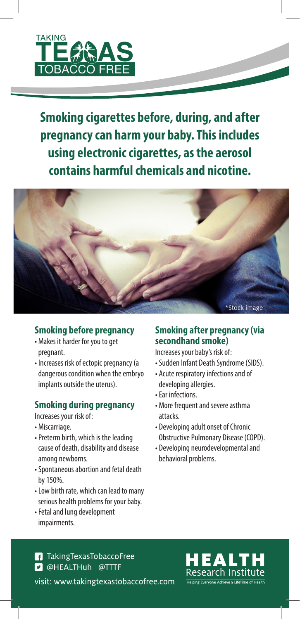

**Smoking cigarettes before, during, and after pregnancy can harm your baby. This includes using electronic cigarettes, as the aerosol contains harmful chemicals and nicotine.**



## **Smoking before pregnancy**

- Makes it harder for you to get pregnant.
- Increases risk of ectopic pregnancy (a dangerous condition when the embryo implants outside the uterus).

## **Smoking during pregnancy**

Increases your risk of:

- Miscarriage.
- Preterm birth, which is the leading cause of death, disability and disease among newborns.
- Spontaneous abortion and fetal death by 150%.
- Low birth rate, which can lead to many serious health problems for your baby.
- Fetal and lung development impairments.

### **Smoking after pregnancy (via secondhand smoke)**

Increases your baby's risk of:

- Sudden Infant Death Syndrome (SIDS).
- Acute respiratory infections and of developing allergies.
- Ear infections.
- More frequent and severe asthma attacks.
- Developing adult onset of Chronic Obstructive Pulmonary Disease (COPD).
- Developing neurodevelopmental and behavioral problems.

**1** Taking Texas Tobacco Free **D** @HEALTHuh @TTTF visit: www.takingtexastobaccofree.com